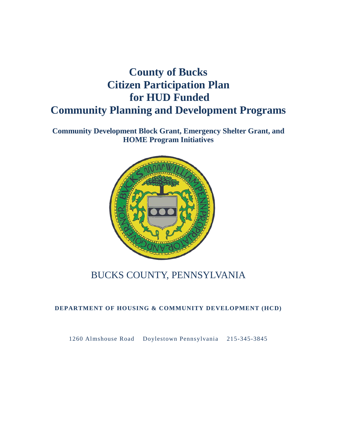# **County of Bucks Citizen Participation Plan for HUD Funded Community Planning and Development Programs**

**Community Development Block Grant, Emergency Shelter Grant, and HOME Program Initiatives**



## BUCKS COUNTY, PENNSYLVANIA

#### **DEPARTMENT OF HOUSING & COMMUNITY DEVELOPMENT (HCD)**

1260 Almshouse Road Doylestown Pennsylvania 215-345-3845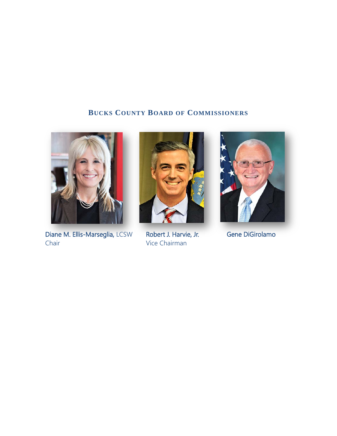### **BUCKS COUNTY BOARD OF COMMISSIONERS**



Diane M. Ellis-Marseglia, LCSW Chair



Robert J. Harvie, Jr. Vice Chairman



Gene DiGirolamo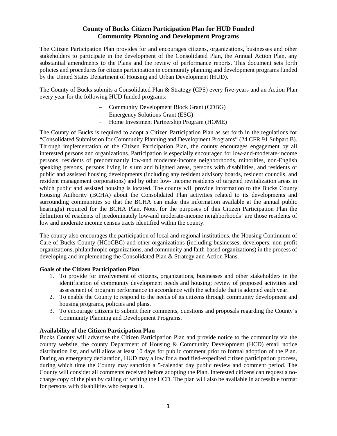#### **County of Bucks Citizen Participation Plan for HUD Funded Community Planning and Development Programs**

The Citizen Participation Plan provides for and encourages citizens, organizations, businesses and other stakeholders to participate in the development of the Consolidated Plan, the Annual Action Plan, any substantial amendments to the Plans and the review of performance reports. This document sets forth policies and procedures for citizen participation in community planning and development programs funded by the United States Department of Housing and Urban Development (HUD).

The County of Bucks submits a Consolidated Plan & Strategy (CPS) every five-years and an Action Plan every year for the following HUD funded programs:

- − Community Development Block Grant (CDBG)
- − Emergency Solutions Grant (ESG)
- − Home Investment Partnership Program (HOME)

The County of Bucks is required to adopt a Citizen Participation Plan as set forth in the regulations for "Consolidated Submission for Community Planning and Development Programs" (24 CFR 91 Subpart B). Through implementation of the Citizen Participation Plan, the county encourages engagement by all interested persons and organizations. Participation is especially encouraged for low-and-moderate-income persons, residents of predominantly low-and moderate-income neighborhoods, minorities, non-English speaking persons, persons living in slum and blighted areas, persons with disabilities, and residents of public and assisted housing developments (including any resident advisory boards, resident councils, and resident management corporations) and by other low- income residents of targeted revitalization areas in which public and assisted housing is located. The county will provide information to the Bucks County Housing Authority (BCHA) about the Consolidated Plan activities related to its developments and surrounding communities so that the BCHA can make this information available at the annual public hearing(s) required for the BCHA Plan. Note, for the purposes of this Citizen Participation Plan the definition of residents of predominately low-and moderate-income neighborhoods' are those residents of low and moderate income census tracts identified within the county.

The county also encourages the participation of local and regional institutions, the Housing Continuum of Care of Bucks County (HCoCBC) and other organizations (including businesses, developers, non-profit organizations, philanthropic organizations, and community and faith-based organizations) in the process of developing and implementing the Consolidated Plan & Strategy and Action Plans.

#### **Goals of the Citizen Participation Plan**

- 1. To provide for involvement of citizens, organizations, businesses and other stakeholders in the identification of community development needs and housing; review of proposed activities and assessment of program performance in accordance with the schedule that is adopted each year.
- 2. To enable the County to respond to the needs of its citizens through community development and housing programs, policies and plans.
- 3. To encourage citizens to submit their comments, questions and proposals regarding the County's Community Planning and Development Programs.

#### **Availability of the Citizen Participation Plan**

Bucks County will advertise the Citizen Participation Plan and provide notice to the community via the county website, the county Department of Housing & Community Development (HCD) email notice distribution list, and will allow at least 10 days for public comment prior to formal adoption of the Plan. During an emergency declaration, HUD may allow for a modified-expedited citizen participation process, during which time the County may sanction a 5-calendar day public review and comment period. The County will consider all comments received before adopting the Plan. Interested citizens can request a nocharge copy of the plan by calling or writing the HCD. The plan will also be available in accessible format for persons with disabilities who request it.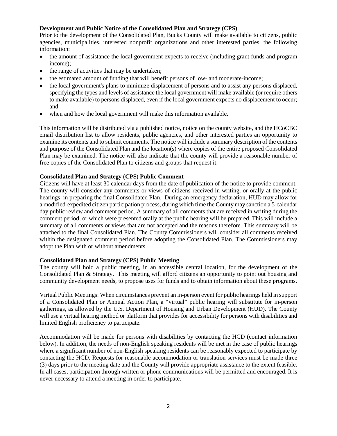#### **Development and Public Notice of the Consolidated Plan and Strategy (CPS)**

Prior to the development of the Consolidated Plan, Bucks County will make available to citizens, public agencies, municipalities, interested nonprofit organizations and other interested parties, the following information:

- the amount of assistance the local government expects to receive (including grant funds and program income);
- the range of activities that may be undertaken;
- the estimated amount of funding that will benefit persons of low- and moderate-income;
- the local government's plans to minimize displacement of persons and to assist any persons displaced, specifying the types and levels of assistance the local government will make available (or require others to make available) to persons displaced, even if the local government expects no displacement to occur; and
- when and how the local government will make this information available.

This information will be distributed via a published notice, notice on the county website, and the HCoCBC email distribution list to allow residents, public agencies, and other interested parties an opportunity to examine its contents and to submit comments. The notice will include a summary description of the contents and purpose of the Consolidated Plan and the location(s) where copies of the entire proposed Consolidated Plan may be examined. The notice will also indicate that the county will provide a reasonable number of free copies of the Consolidated Plan to citizens and groups that request it.

#### **Consolidated Plan and Strategy (CPS) Public Comment**

Citizens will have at least 30 calendar days from the date of publication of the notice to provide comment. The county will consider any comments or views of citizens received in writing, or orally at the public hearings, in preparing the final Consolidated Plan. During an emergency declaration, HUD may allow for a modified-expedited citizen participation process, during which time the County may sanction a 5-calendar day public review and comment period. A summary of all comments that are received in writing during the comment period, or which were presented orally at the public hearing will be prepared. This will include a summary of all comments or views that are not accepted and the reasons therefore. This summary will be attached to the final Consolidated Plan. The County Commissioners will consider all comments received within the designated comment period before adopting the Consolidated Plan. The Commissioners may adopt the Plan with or without amendments.

#### **Consolidated Plan and Strategy (CPS) Public Meeting**

The county will hold a public meeting, in an accessible central location, for the development of the Consolidated Plan & Strategy. This meeting will afford citizens an opportunity to point out housing and community development needs, to propose uses for funds and to obtain information about these programs.

Virtual Public Meetings: When circumstances prevent an in-person event for public hearings held in support of a Consolidated Plan or Annual Action Plan, a "virtual" public hearing will substitute for in-person gatherings, as allowed by the U.S. Department of Housing and Urban Development (HUD). The County will use a virtual hearing method or platform that provides for accessibility for persons with disabilities and limited English proficiency to participate.

Accommodation will be made for persons with disabilities by contacting the HCD (contact information below). In addition, the needs of non-English speaking residents will be met in the case of public hearings where a significant number of non-English speaking residents can be reasonably expected to participate by contacting the HCD. Requests for reasonable accommodation or translation services must be made three (3) days prior to the meeting date and the County will provide appropriate assistance to the extent feasible. In all cases, participation through written or phone communications will be permitted and encouraged. It is never necessary to attend a meeting in order to participate.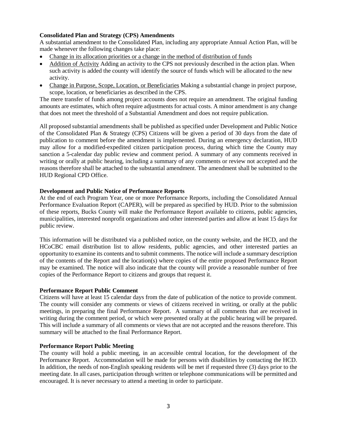#### **Consolidated Plan and Strategy (CPS) Amendments**

A substantial amendment to the Consolidated Plan, including any appropriate Annual Action Plan, will be made whenever the following changes take place:

- Change in its allocation priorities or a change in the method of distribution of funds
- Addition of Activity Adding an activity to the CPS not previously described in the action plan. When such activity is added the county will identify the source of funds which will be allocated to the new activity.
- Change in Purpose, Scope, Location, or Beneficiaries Making a substantial change in project purpose, scope, location, or beneficiaries as described in the CPS.

The mere transfer of funds among project accounts does not require an amendment. The original funding amounts are estimates, which often require adjustments for actual costs. A minor amendment is any change that does not meet the threshold of a Substantial Amendment and does not require publication.

All proposed substantial amendments shall be published as specified under Development and Public Notice of the Consolidated Plan & Strategy (CPS) Citizens will be given a period of 30 days from the date of publication to comment before the amendment is implemented. During an emergency declaration, HUD may allow for a modified-expedited citizen participation process, during which time the County may sanction a 5-calendar day public review and comment period. A summary of any comments received in writing or orally at public hearing, including a summary of any comments or review not accepted and the reasons therefore shall be attached to the substantial amendment. The amendment shall be submitted to the HUD Regional CPD Office.

#### **Development and Public Notice of Performance Reports**

At the end of each Program Year, one or more Performance Reports, including the Consolidated Annual Performance Evaluation Report (CAPER), will be prepared as specified by HUD. Prior to the submission of these reports, Bucks County will make the Performance Report available to citizens, public agencies, municipalities, interested nonprofit organizations and other interested parties and allow at least 15 days for public review.

This information will be distributed via a published notice, on the county website, and the HCD, and the HCoCBC email distribution list to allow residents, public agencies, and other interested parties an opportunity to examine its contents and to submit comments. The notice will include a summary description of the contents of the Report and the location(s) where copies of the entire proposed Performance Report may be examined. The notice will also indicate that the county will provide a reasonable number of free copies of the Performance Report to citizens and groups that request it.

#### **Performance Report Public Comment**

Citizens will have at least 15 calendar days from the date of publication of the notice to provide comment. The county will consider any comments or views of citizens received in writing, or orally at the public meetings, in preparing the final Performance Report. A summary of all comments that are received in writing during the comment period, or which were presented orally at the public hearing will be prepared. This will include a summary of all comments or views that are not accepted and the reasons therefore. This summary will be attached to the final Performance Report.

#### **Performance Report Public Meeting**

The county will hold a public meeting, in an accessible central location, for the development of the Performance Report. Accommodation will be made for persons with disabilities by contacting the HCD. In addition, the needs of non-English speaking residents will be met if requested three (3) days prior to the meeting date. In all cases, participation through written or telephone communications will be permitted and encouraged. It is never necessary to attend a meeting in order to participate.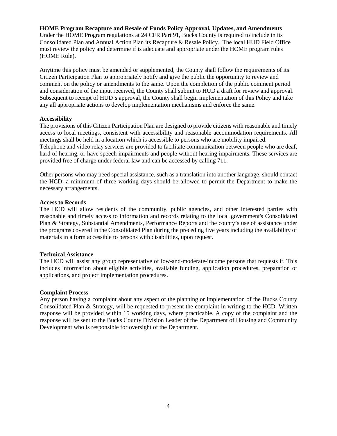#### **HOME Program Recapture and Resale of Funds Policy Approval, Updates, and Amendments**

Under the HOME Program regulations at 24 CFR Part 91, Bucks County is required to include in its Consolidated Plan and Annual Action Plan its Recapture & Resale Policy. The local HUD Field Office must review the policy and determine if is adequate and appropriate under the HOME program rules (HOME Rule).

Anytime this policy must be amended or supplemented, the County shall follow the requirements of its Citizen Participation Plan to appropriately notify and give the public the opportunity to review and comment on the policy or amendments to the same. Upon the completion of the public comment period and consideration of the input received, the County shall submit to HUD a draft for review and approval. Subsequent to receipt of HUD's approval, the County shall begin implementation of this Policy and take any all appropriate actions to develop implementation mechanisms and enforce the same.

#### **Accessibility**

The provisions of this Citizen Participation Plan are designed to provide citizens with reasonable and timely access to local meetings, consistent with accessibility and reasonable accommodation requirements. All meetings shall be held in a location which is accessible to persons who are mobility impaired. Telephone and video relay services are provided to facilitate communication between people who are deaf, hard of hearing, or have speech impairments and people without hearing impairments. These services are provided free of charge under federal law and can be accessed by calling 711.

Other persons who may need special assistance, such as a translation into another language, should contact the HCD; a minimum of three working days should be allowed to permit the Department to make the necessary arrangements.

#### **Access to Records**

The HCD will allow residents of the community, public agencies, and other interested parties with reasonable and timely access to information and records relating to the local government's Consolidated Plan & Strategy, Substantial Amendments, Performance Reports and the county's use of assistance under the programs covered in the Consolidated Plan during the preceding five years including the availability of materials in a form accessible to persons with disabilities, upon request.

#### **Technical Assistance**

The HCD will assist any group representative of low-and-moderate-income persons that requests it. This includes information about eligible activities, available funding, application procedures, preparation of applications, and project implementation procedures.

#### **Complaint Process**

Any person having a complaint about any aspect of the planning or implementation of the Bucks County Consolidated Plan & Strategy, will be requested to present the complaint in writing to the HCD. Written response will be provided within 15 working days, where practicable. A copy of the complaint and the response will be sent to the Bucks County Division Leader of the Department of Housing and Community Development who is responsible for oversight of the Department.